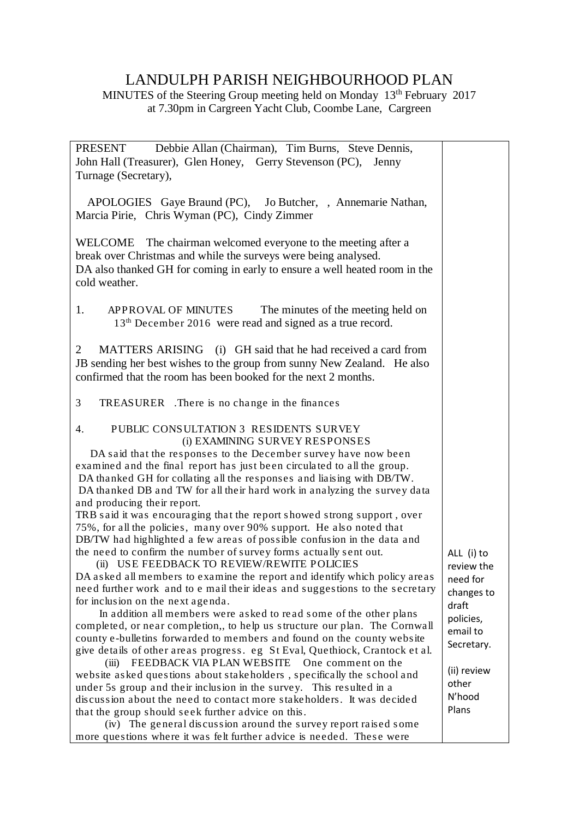## LANDULPH PARISH NEIGHBOURHOOD PLAN

MINUTES of the Steering Group meeting held on Monday 13<sup>th</sup> February 2017 at 7.30pm in Cargreen Yacht Club, Coombe Lane, Cargreen

PRESENT Debbie Allan (Chairman), Tim Burns, Steve Dennis, John Hall (Treasurer), Glen Honey, Gerry Stevenson (PC), Jenny Turnage (Secretary), APOLOGIES Gaye Braund (PC), Jo Butcher, , Annemarie Nathan, Marcia Pirie, Chris Wyman (PC), Cindy Zimmer WELCOME The chairman welcomed everyone to the meeting after a break over Christmas and while the surveys were being analysed. DA also thanked GH for coming in early to ensure a well heated room in the cold weather. 1. APPROVAL OF MINUTES The minutes of the meeting held on 13<sup>th</sup> December 2016 were read and signed as a true record. 2 MATTERS ARISING (i) GH said that he had received a card from JB sending her best wishes to the group from sunny New Zealand. He also confirmed that the room has been booked for the next 2 months. 3 TREASURER .There is no change in the finances 4. PUBLIC CONSULTATION 3 RESIDENTS SURVEY (i) EXAMINING SURVEY RESPONSES DA said that the responses to the December survey have now been examined and the final report has just been circulated to all the group. DA thanked GH for collating all the responses and liaising with DB/TW. DA thanked DB and TW for all their hard work in analyzing the survey data and producing their report. TRB said it was encouraging that the report showed strong support , over 75%, for all the policies, many over 90% support. He also noted that DB/TW had highlighted a few areas of possible confusion in the data and the need to confirm the number of survey forms actually sent out. (ii) USE FEEDBACK TO REVIEW/REWITE POLICIES DA asked all members to examine the report and identify which policy areas need further work and to e mail their ideas and suggestions to the secretary for inclusion on the next agenda. In addition all members were asked to read some of the other plans completed, or near completion,, to help us structure our plan. The Cornwall county e-bulletins forwarded to members and found on the county website give details of other areas progress. eg St Eval, Quethiock, Crantock et al. (iii) FEEDBACK VIA PLAN WEBSITE One comment on the website asked questions about stakeholders , specifically the school and under 5s group and their inclusion in the survey. This resulted in a ALL (i) to review the need for changes to draft policies, email to Secretary. (ii) review

discussion about the need to contact more stakeholders. It was decided that the group should seek further advice on this. (iv) The general discussion around the survey report raised some more questions where it was felt further advice is needed. These were

other N'hood Plans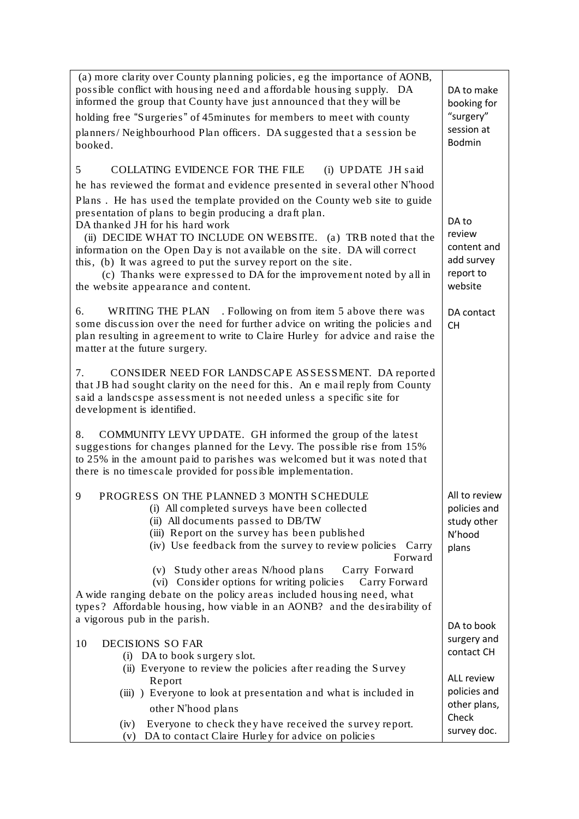| (a) more clarity over County planning policies, eg the importance of AONB,<br>possible conflict with housing need and affordable housing supply. DA<br>informed the group that County have just announced that they will be<br>holding free "Surgeries" of 45minutes for members to meet with county<br>planners/Neighbourhood Plan officers. DA suggested that a session be<br>booked.                                                                                                                                                                                                                                                        | DA to make<br>booking for<br>"surgery"<br>session at<br><b>Bodmin</b> |
|------------------------------------------------------------------------------------------------------------------------------------------------------------------------------------------------------------------------------------------------------------------------------------------------------------------------------------------------------------------------------------------------------------------------------------------------------------------------------------------------------------------------------------------------------------------------------------------------------------------------------------------------|-----------------------------------------------------------------------|
| COLLATING EVIDENCE FOR THE FILE<br>(i) UPDATE JH said<br>5<br>he has reviewed the format and evidence presented in several other N'hood<br>Plans. He has used the template provided on the County web site to guide<br>presentation of plans to begin producing a draft plan.<br>DA thanked JH for his hard work<br>(ii) DECIDE WHAT TO INCLUDE ON WEBSITE. (a) TRB noted that the<br>information on the Open Day is not available on the site. DA will correct<br>this, (b) It was agreed to put the survey report on the site.<br>(c) Thanks were expressed to DA for the improvement noted by all in<br>the website appearance and content. | DA to<br>review<br>content and<br>add survey<br>report to<br>website  |
| WRITING THE PLAN . Following on from item 5 above there was<br>6.<br>some discussion over the need for further advice on writing the policies and<br>plan resulting in agreement to write to Claire Hurley for advice and raise the<br>matter at the future surgery.                                                                                                                                                                                                                                                                                                                                                                           | DA contact<br><b>CH</b>                                               |
| CONSIDER NEED FOR LANDSCAPE ASSESSMENT. DA reported<br>7.<br>that JB had sought clarity on the need for this. An e mail reply from County<br>said a landscspe assessment is not needed unless a specific site for<br>development is identified.                                                                                                                                                                                                                                                                                                                                                                                                |                                                                       |
| 8.<br>COMMUNITY LEVY UPDATE. GH informed the group of the latest<br>suggestions for changes planned for the Levy. The possible rise from 15%<br>to 25% in the amount paid to parishes was welcomed but it was noted that<br>there is no timescale provided for possible implementation.                                                                                                                                                                                                                                                                                                                                                        |                                                                       |
| PROGRESS ON THE PLANNED 3 MONTH SCHEDULE<br>9<br>(i) All completed surveys have been collected<br>(ii) All documents passed to DB/TW<br>(iii) Report on the survey has been published<br>(iv) Use feedback from the survey to review policies Carry<br>Forward<br>Study other areas N/hood plans<br>Carry Forward<br>(v)<br>(vi) Consider options for writing policies<br>Carry Forward<br>A wide ranging debate on the policy areas included housing need, what<br>types? Affordable housing, how viable in an AONB? and the desirability of                                                                                                  | All to review<br>policies and<br>study other<br>N'hood<br>plans       |
| a vigorous pub in the parish.<br>10<br>DECISIONS SO FAR<br>(i) DA to book surgery slot.                                                                                                                                                                                                                                                                                                                                                                                                                                                                                                                                                        | DA to book<br>surgery and<br>contact CH                               |
| (ii) Everyone to review the policies after reading the Survey<br>Report<br>(iii)) Everyone to look at presentation and what is included in<br>other N'hood plans<br>Everyone to check they have received the survey report.<br>(iv)<br>DA to contact Claire Hurley for advice on policies<br>(v)                                                                                                                                                                                                                                                                                                                                               | ALL review<br>policies and<br>other plans,<br>Check<br>survey doc.    |